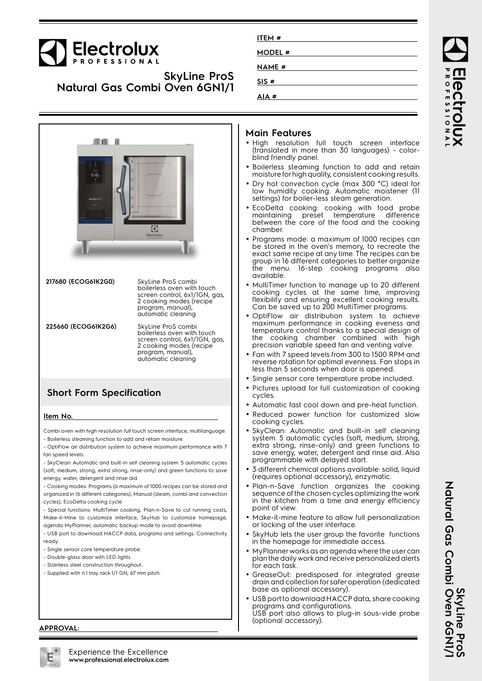# **Electrolux**

## **SkyLine ProS Natural Gas Combi Oven 6GN1/1**

|                                   |                                                                                                                                                         | AIA #                                                                                                                                                                                                                                                       |
|-----------------------------------|---------------------------------------------------------------------------------------------------------------------------------------------------------|-------------------------------------------------------------------------------------------------------------------------------------------------------------------------------------------------------------------------------------------------------------|
| 01:20<br>SkyLine Profi<br>$0 - 1$ | $\blacklozenge$<br>Electrolux                                                                                                                           | Main F<br>$\bullet$ High<br>$\mathsf{r}$<br>(transla<br>blind fri<br>• Boilerle<br>moistur<br>$\bullet$ Dry hot<br>low hui<br>settings<br>• EcoDell<br>maintai<br>betwee<br>chambe<br>• Progran<br>be stor<br>exact so<br>group in<br>the I<br>m<br>availab |
| 217680 (ECOG61K2G0)               | SkyLine ProS combi<br>boilerless oven with touch<br>screen control, 6x1/1GN, gas,<br>2 cooking modes (recipe<br>program, manual),<br>automatic cleaning | • MultiTin<br>cookino<br>flexibilit<br>Can be<br>• OptiFlo                                                                                                                                                                                                  |
| 225660 (ECOG61K2G6)               | SkyLine ProS combi<br>boilerless oven with touch<br>screen control, 6x1/1GN, gas,<br>2 cooking modes (recipe<br>program, manual),<br>automatic cleaning | maximu<br>temper<br>the<br>CC<br>precisic<br>• Fan witl<br>reverse<br>less tha                                                                                                                                                                              |
| <b>Short Form Specification</b>   |                                                                                                                                                         | • Single s<br>• Pictures<br>cycles.<br>· Automo                                                                                                                                                                                                             |
| Item No.                          |                                                                                                                                                         | • Reduce<br>cooking                                                                                                                                                                                                                                         |
|                                   | Combi oven with high resolution full touch screen interface, multilanguage.                                                                             | SkyCleo                                                                                                                                                                                                                                                     |

- Boilerless steaming function to add and retain moisture.

- OptiFlow air distribution system to achieve maximum performance with 7 fan speed levels.
- SkyClean: Automatic and built-in self cleaning system. 5 automatic cycles (soft, medium, strong, extra strong, rinse-only) and green functions to save energy, water, detergent and rinse aid.
- Cooking modes: Programs (a maximum of 1000 recipes can be stored and organized in 16 different categories); Manual (steam, combi and convection cycles); EcoDelta cooking cycle.
- Special functions: MultiTimer cooking, Plan-n-Save to cut running costs, Make-it-Mine to customize interface, SkyHub to customize homepage, agenda MyPlanner, automatic backup mode to avoid downtime.
- USB port to download HACCP data, programs and settings. Connectivity ready.
- Single sensor core temperature probe.
- Double-glass door with LED lights.
- Stainless steel construction throughout.
- Supplied with n.1 tray rack 1/1 GN, 67 mm pitch.

## **Main Features**

**ITEM # MODEL # NAME # SIS #**

- resolution full touch screen interface slated in more than 30 languages) - colorfriendly panel.
- erless steaming function to add and retain ture for high quality, consistent cooking results.
- hot convection cycle (max 300 °C) ideal for humidity cooking. Automatic moistener (11 hgs) for boiler-less steam generation.
- Delta cooking: cooking with food probe<br>Itaining preset temperature difference itaining preset een the core of the food and the cooking nher
- rams mode: a maximum of 1000 recipes can tored in the oven's memory, to recreate the t same recipe at any time. The recipes can be: p in 16 different categories to better organize menu. 16-step cooking programs also lahle
- iTimer function to manage up to 20 different king cycles at the same time, improving flexibility and ensuring excellent cooking results. Can be saved up to 200 MultiTimer programs.
- Flow air distribution system to achieve imum performance in cooking eveness and verature control thanks to a special design of cooking chamber combined with high ision variable speed fan and venting valve.
- with 7 speed levels from 300 to 1500 RPM and rse rotation for optimal evenness. Fan stops in than 5 seconds when door is opened.
- le sensor core temperature probe included.
- res upload for full customization of cooking  $2S$
- matic fast cool down and pre-heat function.
- Iced power function for customized slow cing cycles.
- •Clean: Automatic and built-in self cleaning system. 5 automatic cycles (soft, medium, strong, extra strong, rinse-only) and green functions to save energy, water, detergent and rinse aid. Also programmable with delayed start.
- • 3 different chemical options available: solid, liquid (requires optional accessory), enzymatic.
- • Plan-n-Save function organizes the cooking sequence of the chosen cycles optimizing the work in the kitchen from a time and energy efficiency point of view.
- Make-it-mine feature to allow full personalization or locking of the user interface.
- • SkyHub lets the user group the favorite functions in the homepage for immediate access.
- • MyPlanner works as an agenda where the user can plan the daily work and receive personalized alerts for each task.
- GreaseOut: predisposed for integrated grease drain and collection for safer operation (dedicated base as optional accessory).
- • USB port to download HACCP data, share cooking programs and configurations. USB port also allows to plug-in sous-vide probe (optional accessory).

**APPROVAL:**

ROFESSIONA Iect

SkyLine Pro<br>Natural Gas Combi Oven 6GNI/ **Natural Gas Combi Oven 6GN1/1 SkyLine ProS**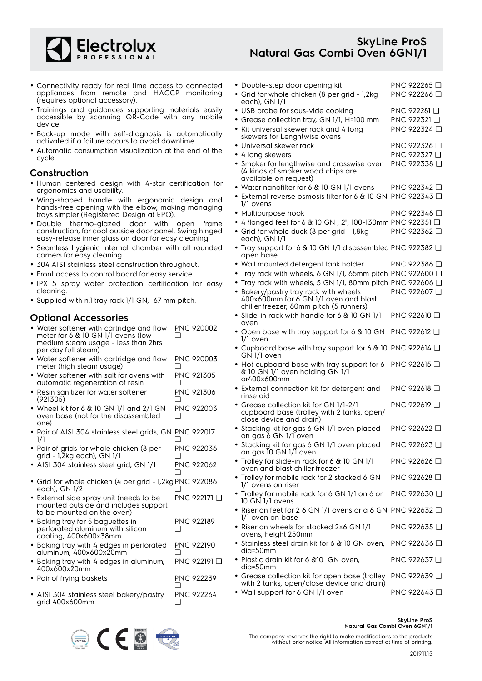

## **SkyLine ProS Natural Gas Combi Oven 6GN1/1**

- Connectivity ready for real time access to connected appliances from remote and HACCP monitoring (requires optional accessory).
- Trainings and guidances supporting materials easily accessible by scanning QR-Code with any mobile device.
- Back-up mode with self-diagnosis is automatically activated if a failure occurs to avoid downtime.
- Automatic consumption visualization at the end of the cycle.

### **Construction**

- Human centered design with 4-star certification for ergonomics and usability.
- Wing-shaped handle with ergonomic design and hands-free opening with the elbow, making managing trays simpler (Registered Design at EPO).
- Double thermo-glazed door with open frame construction, for cool outside door panel. Swing hinged easy-release inner glass on door for easy cleaning.
- Seamless hygienic internal chamber with all rounded corners for easy cleaning.
- 304 AISI stainless steel construction throughout.
- Front access to control board for easy service.
- IPX 5 spray water protection certification for easy cleaning.
- Supplied with n.1 tray rack 1/1 GN, 67 mm pitch.

### **Optional Accessories**

- Water softener with cartridge and flow meter for 6 & 10 GN 1/1 ovens (lowmedium steam usage - less than 2hrs per day full steam) PNC 920002 ❑
- Water softener with cartridge and flow meter (high steam usage) PNC 920003  $\Box$
- Water softener with salt for ovens with automatic regeneration of resin PNC 921305 ❑
- • Resin sanitizer for water softener (921305) PNC 921306 ❑
- Wheel kit for 6 & 10 GN 1/1 and 2/1 GN oven base (not for the disassembled one) PNC 922003  $\Box$
- Pair of AISI 304 stainless steel grids, GN PNC 922017 1/1  $\Box$
- Pair of grids for whole chicken (8 per grid - 1,2kg each), GN 1/1 PNC 922036 ❑
- AISI 304 stainless steel grid, GN 1/1 PNC 922062  $\Box$
- Grid for whole chicken (4 per grid 1,2kg PNC 922086 each), GN 1/2 ❑
- External side spray unit (needs to be mounted outside and includes support to be mounted on the oven) PNC 922171 ❑
- Baking tray for 5 baguettes in perforated aluminum with silicon coating, 400x600x38mm PNC 922189  $\Box$
- Baking tray with 4 edges in perforated aluminum, 400x600x20mm PNC 922190 ❑
- Baking tray with 4 edges in aluminum, 400x600x20mm PNC 922191 ❑ • Pair of frying baskets PNC 922239
- ❑
- AISI 304 stainless steel bakery/pastry grid 400x600mm PNC 922264 ❑



| • Double-step door opening kit<br>· Grid for whole chicken (8 per grid - 1,2kg<br>each), GN 1/1            | PNC 922265 <b>□</b><br>PNC 922266 Q     |
|------------------------------------------------------------------------------------------------------------|-----------------------------------------|
| · USB probe for sous-vide cooking                                                                          | PNC 922281 <b>□</b>                     |
| · Grease collection tray, GN 1/1, H=100 mm                                                                 | PNC 922321 <b>□</b>                     |
| • Kit universal skewer rack and 4 long<br>skewers for Lenghtwise ovens                                     | PNC 922324 □                            |
| • Universal skewer rack<br>• 4 long skewers                                                                | PNC 922326 <del>□</del><br>PNC 922327 □ |
| • Smoker for lengthwise and crosswise oven                                                                 | PNC 922338 □                            |
| (4 kinds of smoker wood chips are<br>available on request)                                                 |                                         |
| • Water nanofilter for 6 & 10 GN 1/1 ovens<br>• External reverse osmosis filter for 6 & 10 GN PNC 922343 □ | PNC 922342 ❑                            |
| 1/1 ovens                                                                                                  |                                         |
| · Multipurpose hook                                                                                        | PNC 922348 <b>□</b>                     |
| • 4 flanged feet for 6 & 10 GN, 2", 100-130mm PNC 922351 □                                                 |                                         |
| · Grid for whole duck (8 per grid - 1,8kg<br>each), GN 1/1                                                 | PNC 922362 □                            |
| • Tray support for 6 & 10 GN 1/1 disassembled PNC 922382 □<br>open base                                    |                                         |
| · Wall mounted detergent tank holder                                                                       | PNC 922386 <del>□</del>                 |
| • Tray rack with wheels, 6 GN 1/1, 65mm pitch PNC 922600 Q                                                 |                                         |
| • Tray rack with wheels, 5 GN 1/1, 80mm pitch PNC 922606 Q<br>• Bakery/pastry tray rack with wheels        | PNC 922607 Q                            |
| 400x600mm for 6 GN 1/1 oven and blast<br>chiller freezer, 80mm pitch (5 runners)                           |                                         |
| · Slide-in rack with handle for 6 & 10 GN 1/1                                                              | PNC 922610 <b>□</b>                     |
| oven<br>• Open base with tray support for 6 & 10 GN<br>1/1 oven                                            | PNC 922612 Q                            |
| • Cupboard base with tray support for 6 & 10 PNC 922614 Q<br>GN 1/1 oven                                   |                                         |
| • Hot cupboard base with tray support for 6<br>& 10 GN 1/1 oven holding GN 1/1<br>or400x600mm              | PNC 922615 <b>□</b>                     |
| • External connection kit for detergent and<br>rinse aid                                                   | PNC 922618 <b>□</b>                     |
| · Grease collection kit for GN 1/1-2/1<br>cupboard base (trolley with 2 tanks, open/                       | PNC 922619 Q                            |
| close device and drain)<br>• Stacking kit for gas 6 GN 1/1 oven placed                                     | PNC 922622 <b>□</b>                     |
| on gas 6 GN 1/1 oven                                                                                       | PNC 922623 □                            |
| · Stacking kit for gas 6 GN 1/1 oven placed<br>on gas Ī0 GN 1/Ī oven                                       |                                         |
| · Trolley for slide-in rack for 6 & 10 GN 1/1<br>oven and blast chiller freezer                            | PNC 922626 <b>□</b>                     |
| · Trolley for mobile rack for 2 stacked 6 GN<br>1/1 ovens on riser                                         | PNC 922628 <del>□</del>                 |
| • Trolley for mobile rack for 6 GN 1/1 on 6 or<br>10 GN 1/1 ovens                                          | PNC 922630 <b>□</b>                     |
| • Riser on feet for 2 6 GN 1/1 ovens or a 6 GN PNC 922632 $\Box$<br>1/1 oven on base                       |                                         |
| • Riser on wheels for stacked 2x6 GN 1/1<br>ovens, height 250mm                                            | PNC 922635 <b>□</b>                     |
| • Stainless steel drain kit for 6 & 10 GN oven,<br>dia=50mm                                                | PNC 922636 Q                            |
| • Plastic drain kit for 6 & 10 GN oven,<br>dia=50mm                                                        | PNC 922637 □                            |
| · Grease collection kit for open base (trolley                                                             | PNC 922639 □                            |
| with 2 tanks, open/close device and drain)<br>$\cdots$ and $\cdots$ $\cdots$ $\cdots$                      | 77 <sub>0</sub>                         |

• Wall support for 6 GN 1/1 oven PNC 922643 □

#### **SkyLine ProS Natural Gas Combi Oven 6GN1/1**

The company reserves the right to make modifications to the products without prior notice. All information correct at time of printing.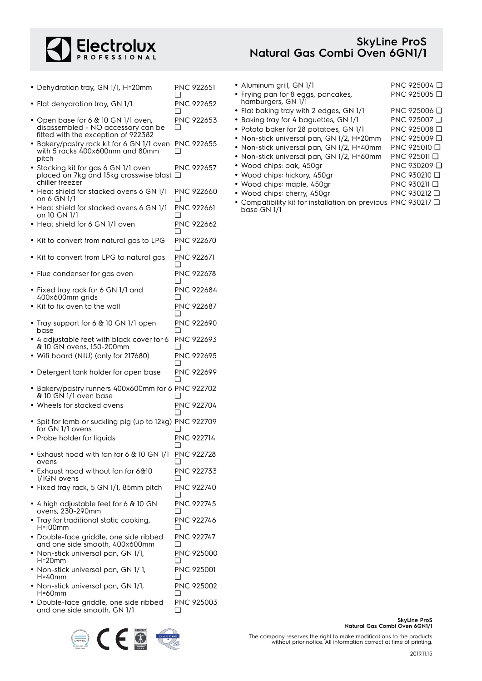

• Dehydration tray, GN 1/1, H=20mm PNC 922651

• Flat dehydration tray, GN 1/1 PNC 922652

 $\Box$ 

❑

- Open base for 6 & 10 GN 1/1 oven, disassembled - NO accessory can be fitted with the exception of 922382 PNC 922653 ❑ • Bakery/pastry rack kit for 6 GN 1/1 oven PNC 922655 with 5 racks 400x600mm and 80mm pitch ❑ • Stacking kit for gas 6 GN 1/1 oven placed on 7kg and 15kg crosswise blast ❑ chiller freezer PNC 922657 • Heat shield for stacked ovens 6 GN 1/1 on 6 GN 1/1 PNC 922660 ❑ • Heat shield for stacked ovens 6 GN 1/1 on 10 GN 1/1 PNC 922661  $\Box$ • Heat shield for 6 GN 1/1 oven PNC 922662  $\Box$ • Kit to convert from natural gas to LPG PNC 922670  $\Box$ • Kit to convert from LPG to natural gas PNC 922671 ❑ • Flue condenser for gas oven PNC 922678  $\Box$ • Fixed tray rack for 6 GN 1/1 and 400x600mm grids PNC 922684 ❑ • Kit to fix oven to the wall PNC 922687 ❑ • Tray support for 6 & 10 GN 1/1 open base PNC 922690  $\Box$ • 4 adjustable feet with black cover for 6 & 10 GN ovens, 150-200mm PNC 922693 ❑ • Wifi board (NIU) (only for 217680) PNC 922695 ❑ • Detergent tank holder for open base PNC 922699 ❑ • Bakery/pastry runners 400x600mm for 6 PNC 922702 & 10 GN 1/1 oven base  $\Box$ • Wheels for stacked ovens PNC 922704  $\Box$ • Spit for lamb or suckling pig (up to 12kg) PNC 922709 for GN 1/1 ovens ❑ • Probe holder for liquids PNC 922714 ❑ • Exhaust hood with fan for 6 & 10 GN 1/1 ovens PNC 922728 ❑ • Exhaust hood without fan for 6&10 1/1GN ovens PNC 922733  $\Box$ • Fixed tray rack, 5 GN 1/1, 85mm pitch PNC 922740  $\Box$ • 4 high adjustable feet for 6 & 10 GN ovens, 230-290mm PNC 922745  $\Box$ • Tray for traditional static cooking, H=100mm PNC 922746  $\Box$ • Double-face griddle, one side ribbed and one side smooth, 400x600mm PNC 922747 ❑ • Non-stick universal pan, GN 1/1, H=20mm PNC 925000 ❑ • Non-stick universal pan, GN 1/ 1, H=40mm PNC 925001 ❑ • Non-stick universal pan, GN 1/1, H=60mm PNC 925002  $\Box$
- Double-face griddle, one side ribbed and one side smooth, GN 1/1 PNC 925003  $\Box$



| • Aluminum grill, GN 1/1                                 | PNC 925004 □            |
|----------------------------------------------------------|-------------------------|
| • Frying pan for 8 eggs, pancakes,<br>hamburgers, GN 1/1 | PNC 925005 <del>□</del> |
| • Flat baking tray with 2 edges, GN 1/1                  | PNC 925006 <b>□</b>     |
| • Baking tray for 4 baguettes, GN 1/1                    | PNC 925007 D            |
| • Potato baker for 28 potatoes, GN 1/1                   | PNC 925008 Q            |
| • Non-stick universal pan, GN 1/2, H=20mm                | PNC 925009 D            |
| • Non-stick universal pan, GN 1/2, H=40mm                | PNC 925010 Q            |
| • Non-stick universal pan, GN 1/2, H=60mm                | PNC 925011 D            |
| • Wood chips: oak, 450gr                                 | PNC 930209 Q            |
| • Wood chips: hickory, 450gr                             | PNC 930210 Q            |
| • Wood chips: maple, 450gr                               | PNC 930211 Q            |
| • Wood chips: cherry, 450gr                              | PNC 930212 <b>□</b>     |
|                                                          |                         |

• Compatibility kit for installation on previous PNC 930217 ❑base GN 1/1

> **SkyLine ProS Natural Gas Combi Oven 6GN1/1**

The company reserves the right to make modifications to the products without prior notice. All information correct at time of printing.